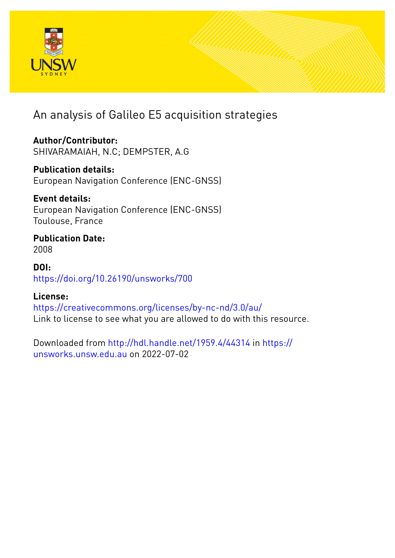

An analysis of Galileo E5 acquisition strategies

**Author/Contributor:** SHIVARAMAIAH, N.C; DEMPSTER, A.G

**Publication details:** European Navigation Conference (ENC-GNSS)

**Event details:** European Navigation Conference (ENC-GNSS) Toulouse, France

**Publication Date:** 2008

**DOI:** [https://doi.org/10.26190/unsworks/700](http://dx.doi.org/https://doi.org/10.26190/unsworks/700)

## **License:**

<https://creativecommons.org/licenses/by-nc-nd/3.0/au/> Link to license to see what you are allowed to do with this resource.

Downloaded from <http://hdl.handle.net/1959.4/44314> in [https://](https://unsworks.unsw.edu.au) [unsworks.unsw.edu.au](https://unsworks.unsw.edu.au) on 2022-07-02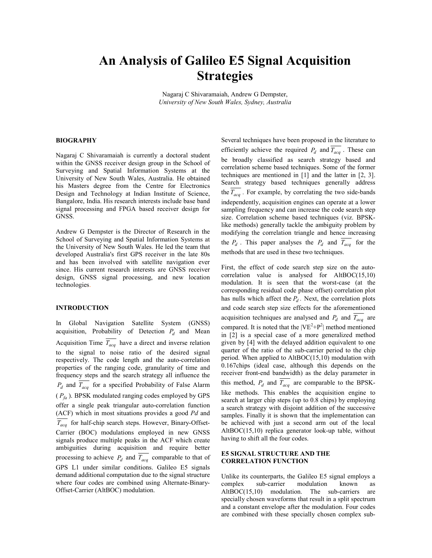# An Analysis of Galileo E5 Signal Acquisition Strategies

Nagaraj C Shivaramaiah, Andrew G Dempster, University of New South Wales, Sydney, Australia

#### **BIOGRAPHY**

Nagaraj C Shivaramaiah is currently a doctoral student within the GNSS receiver design group in the School of Surveying and Spatial Information Systems at the University of New South Wales, Australia. He obtained his Masters degree from the Centre for Electronics Design and Technology at Indian Institute of Science, Bangalore, India. His research interests include base band signal processing and FPGA based receiver design for GNSS.

Andrew G Dempster is the Director of Research in the School of Surveying and Spatial Information Systems at the University of New South Wales. He led the team that developed Australia's first GPS receiver in the late 80s and has been involved with satellite navigation ever since. His current research interests are GNSS receiver design, GNSS signal processing, and new location technologies.

#### INTRODUCTION

In Global Navigation Satellite System (GNSS) acquisition, Probability of Detection  $P_d$  and Mean Acquisition Time  $T_{acq}$  have a direct and inverse relation to the signal to noise ratio of the desired signal respectively. The code length and the auto-correlation properties of the ranging code, granularity of time and frequency steps and the search strategy all influence the  $P_d$  and  $T_{acq}$  for a specified Probability of False Alarm  $(P_{fa})$ . BPSK modulated ranging codes employed by GPS offer a single peak triangular auto-correlation function (ACF) which in most situations provides a good Pd and  $\overline{T_{acc}}$  for half-chip search steps. However, Binary-Offset-Carrier (BOC) modulations employed in new GNSS signals produce multiple peaks in the ACF which create ambiguities during acquisition and require better processing to achieve  $P_d$  and  $T_{acq}$  comparable to that of GPS L1 under similar conditions. Galileo E5 signals demand additional computation due to the signal structure where four codes are combined using Alternate-Binary-Offset-Carrier (AltBOC) modulation.

Several techniques have been proposed in the literature to efficiently achieve the required  $P_d$  and  $T_{acq}$ . These can be broadly classified as search strategy based and correlation scheme based techniques. Some of the former techniques are mentioned in [1] and the latter in [2, 3]. Search strategy based techniques generally address the  $T_{acq}$ . For example, by correlating the two side-bands independently, acquisition engines can operate at a lower sampling frequency and can increase the code search step size. Correlation scheme based techniques (viz. BPSKlike methods) generally tackle the ambiguity problem by modifying the correlation triangle and hence increasing the  $P_d$ . This paper analyses the  $P_d$  and  $T_{acq}$  for the methods that are used in these two techniques.

First, the effect of code search step size on the autocorrelation value is analysed for AltBOC(15,10) modulation. It is seen that the worst-case (at the corresponding residual code phase offset) correlation plot has nulls which affect the  $P_d$ . Next, the correlation plots and code search step size effects for the aforementioned acquisition techniques are analysed and  $P_d$  and  $T_{acq}$  are compared. It is noted that the  $|VE^2 + P^2|$  method mentioned in [2] is a special case of a more generalized method given by [4] with the delayed addition equivalent to one quarter of the ratio of the sub-carrier period to the chip period. When applied to AltBOC(15,10) modulation with 0.167chips (ideal case, although this depends on the receiver front-end bandwidth) as the delay parameter in this method,  $P_d$  and  $T_{acq}$  are comparable to the BPSKlike methods. This enables the acquisition engine to search at larger chip steps (up to 0.8 chips) by employing a search strategy with disjoint addition of the successive samples. Finally it is shown that the implementation can be achieved with just a second arm out of the local AltBOC(15,10) replica generator look-up table, without having to shift all the four codes.

#### E5 SIGNAL STRUCTURE AND THE CORRELATION FUNCTION

Unlike its counterparts, the Galileo E5 signal employs a complex sub-carrier modulation known as AltBOC(15,10) modulation. The sub-carriers are specially chosen waveforms that result in a split spectrum and a constant envelope after the modulation. Four codes are combined with these specially chosen complex sub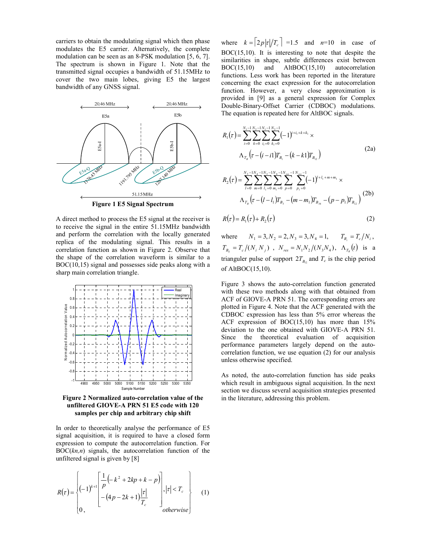carriers to obtain the modulating signal which then phase modulates the E5 carrier. Alternatively, the complete modulation can be seen as an 8-PSK modulation [5, 6, 7]. The spectrum is shown in Figure 1. Note that the transmitted signal occupies a bandwidth of 51.15MHz to cover the two main lobes, giving E5 the largest bandwidth of any GNSS signal.



A direct method to process the E5 signal at the receiver is to receive the signal in the entire 51.15MHz bandwidth and perform the correlation with the locally generated replica of the modulating signal. This results in a correlation function as shown in Figure 2. Observe that the shape of the correlation waveform is similar to a BOC(10,15) signal and possesses side peaks along with a sharp main correlation triangle.



Figure 2 Normalized auto-correlation value of the unfiltered GIOVE-A PRN 51 E5 code with 120 samples per chip and arbitrary chip shift

In order to theoretically analyse the performance of E5 signal acquisition, it is required to have a closed form expression to compute the autocorrelation function. For  $BOC(kn,n)$  signals, the autocorrelation function of the unfiltered signal is given by [8]

$$
R(\tau) = \begin{cases} (-1)^{k+1} \left[ \frac{1}{p} \left( -k^2 + 2kp + k - p \right) \right] & | \tau | < T_c \\ - (4p - 2k + 1) \frac{|\tau|}{T_c} & \text{otherwise} \end{cases} \tag{1}
$$

where  $k = \left\lceil 2p \left| \frac{r}{r_c} \right\rceil \right\rceil = 1.5$  and  $n=10$  in case of BOC(15,10). It is interesting to note that despite the similarities in shape, subtle differences exist between BOC(15,10) and AltBOC(15,10) autocorrelation functions. Less work has been reported in the literature concerning the exact expression for the autocorrelation function. However, a very close approximation is provided in [9] as a general expression for Complex Double-Binary-Offset Carrier (CDBOC) modulations. The equation is repeated here for AltBOC signals.

$$
R_1(\tau) = \sum_{i=0}^{N_1-1} \sum_{k=0}^{N_2-1} \sum_{i_1=0}^{N_1-1} \sum_{k_1=0}^{N_2-1} (-1)^{i+i_1+k+k_1} \times \n\Lambda_{T_s}(\tau - (i-i)T_{B_1} - (k-kT)T_{B_{12}})
$$
\n(2a)

$$
R_{2}(\tau) = \sum_{l=0}^{N_{3}-1} \sum_{m=0}^{N_{4}-1} \sum_{l_{1}=0}^{N_{3}-1} \sum_{m_{1}=0}^{N_{4}-1} \sum_{p=0}^{N_{res}-1} \sum_{p_{1}=0}^{N_{res}-1} (-1)^{l+l_{1}+m+m_{1}} \times \Lambda_{T_{B}}(\tau - (l-l_{1})T_{B_{3}} - (m-m_{1})T_{B_{34}} - (p-p_{1})T_{B_{12}})
$$
\n(2b)

$$
R(\tau) = R_1(\tau) + R_2(\tau) \tag{2}
$$

where  $N_1 = 3, N_2 = 2, N_3 = 3, N_4 = 1, T_{B_i} = T_c/N_i$ ,  $T_{B_y} = T_c / (N_i N_j)$ ,  $N_{res} = N_1 N_2 / (N_3 N_4)$ ,  $\Lambda_{T_B}(t)$  is a trianguler pulse of support  $2T_{B_{12}}$  and  $T_c$  is the chip period of AltBOC(15,10).

Figure 3 shows the auto-correlation function generated with these two methods along with that obtained from ACF of GIOVE-A PRN 51. The corresponding errors are plotted in Figure 4. Note that the ACF generated with the CDBOC expression has less than 5% error whereas the ACF expression of BOC(15,10) has more than 15% deviation to the one obtained with GIOVE-A PRN 51. Since the theoretical evaluation of acquisition performance parameters largely depend on the autocorrelation function, we use equation (2) for our analysis unless otherwise specified.

As noted, the auto-correlation function has side peaks which result in ambiguous signal acquisition. In the next section we discuss several acquisition strategies presented in the literature, addressing this problem.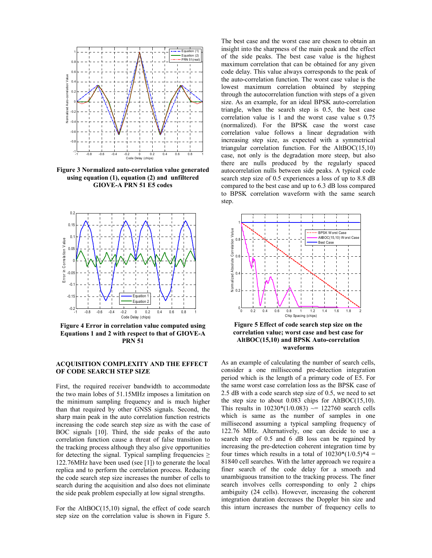

Figure 3 Normalized auto-correlation value generated using equation (1), equation (2) and unfiltered GIOVE-A PRN 51 E5 codes



Figure 4 Error in correlation value computed using Equations 1 and 2 with respect to that of GIOVE-A PRN 51

### ACQUISITION COMPLEXITY AND THE EFFECT OF CODE SEARCH STEP SIZE

First, the required receiver bandwidth to accommodate the two main lobes of 51.15MHz imposes a limitation on the minimum sampling frequency and is much higher than that required by other GNSS signals. Second, the sharp main peak in the auto correlation function restricts increasing the code search step size as with the case of BOC signals [10]. Third, the side peaks of the auto correlation function cause a threat of false transition to the tracking process although they also give opportunities for detecting the signal. Typical sampling frequencies  $\geq$ 122.76MHz have been used (see [1]) to generate the local replica and to perform the correlation process. Reducing the code search step size increases the number of cells to search during the acquisition and also does not eliminate the side peak problem especially at low signal strengths.

For the AltBOC(15,10) signal, the effect of code search step size on the correlation value is shown in Figure 5.

The best case and the worst case are chosen to obtain an insight into the sharpness of the main peak and the effect of the side peaks. The best case value is the highest maximum correlation that can be obtained for any given code delay. This value always corresponds to the peak of the auto-correlation function. The worst case value is the lowest maximum correlation obtained by stepping through the autocorrelation function with steps of a given size. As an example, for an ideal BPSK auto-correlation triangle, when the search step is 0.5, the best case correlation value is 1 and the worst case value s 0.75 (normalized). For the BPSK case the worst case correlation value follows a linear degradation with increasing step size, as expected with a symmetrical triangular correlation function. For the AltBOC(15,10) case, not only is the degradation more steep, but also there are nulls produced by the regularly spaced autocorrelation nulls between side peaks. A typical code search step size of 0.5 experiences a loss of up to 8.8 dB compared to the best case and up to 6.3 dB loss compared to BPSK correlation waveform with the same search step.



Figure 5 Effect of code search step size on the correlation value; worst case and best case for AltBOC(15,10) and BPSK Auto-correlation waveforms

As an example of calculating the number of search cells, consider a one millisecond pre-detection integration period which is the length of a primary code of E5. For the same worst case correlation loss as the BPSK case of 2.5 dB with a code search step size of 0.5, we need to set the step size to about  $0.083$  chips for AltBOC(15,10). This results in  $10230*(1/0.083) \approx 122760$  search cells which is same as the number of samples in one millisecond assuming a typical sampling frequency of 122.76 MHz. Alternatively, one can decide to use a search step of 0.5 and 6 dB loss can be regained by increasing the pre-detection coherent integration time by four times which results in a total of  $10230*(1/0.5)*4 =$ 81840 cell searches. With the latter approach we require a finer search of the code delay for a smooth and unambiguous transition to the tracking process. The finer search involves cells corresponding to only 2 chips ambiguity (24 cells). However, increasing the coherent integration duration decreases the Doppler bin size and this inturn increases the number of frequency cells to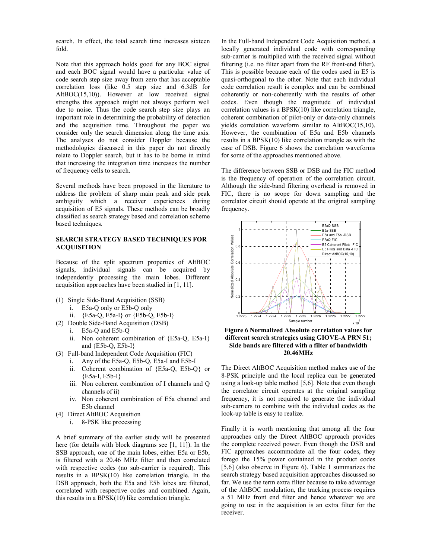search. In effect, the total search time increases sixteen fold.

Note that this approach holds good for any BOC signal and each BOC signal would have a particular value of code search step size away from zero that has acceptable correlation loss (like 0.5 step size and 6.3dB for AltBOC(15,10)). However at low received signal strengths this approach might not always perform well due to noise. Thus the code search step size plays an important role in determining the probability of detection and the acquisition time. Throughout the paper we consider only the search dimension along the time axis. The analyses do not consider Doppler because the methodologies discussed in this paper do not directly relate to Doppler search, but it has to be borne in mind that increasing the integration time increases the number of frequency cells to search.

Several methods have been proposed in the literature to address the problem of sharp main peak and side peak ambiguity which a receiver experiences during acquisition of E5 signals. These methods can be broadly classified as search strategy based and correlation scheme based techniques.

### SEARCH STRATEGY BASED TECHNIQUES FOR ACQUISITION

Because of the split spectrum properties of AltBOC signals, individual signals can be acquired by independently processing the main lobes. Different acquisition approaches have been studied in [1, 11].

- (1) Single Side-Band Acquisition (SSB)
	- i. E5a-Q only or E5b-Q only
	- ii.  ${E5a-Q, E5a-I}$  or  ${E5b-Q, E5b-I}$
- (2) Double Side-Band Acquisition (DSB)
	- i. E5a-Q and E5b-Q
	- ii. Non coherent combination of {E5a-Q, E5a-I} and {E5b-Q, E5b-I}
- (3) Full-band Independent Code Acquisition (FIC)
	- i. Any of the E5a-Q, E5b-Q, E5a-I and E5b-I
	- ii. Coherent combination of {E5a-Q, E5b-Q} or {E5a-I, E5b-I}
	- iii. Non coherent combination of I channels and Q channels of ii)
	- iv. Non coherent combination of E5a channel and E5b channel
- (4) Direct AltBOC Acquisition
	- i. 8-PSK like processing

A brief summary of the earlier study will be presented here (for details with block diagrams see [1, 11]). In the SSB approach, one of the main lobes, either E5a or E5b, is filtered with a 20.46 MHz filter and then correlated with respective codes (no sub-carrier is required). This results in a BPSK(10) like correlation triangle. In the DSB approach, both the E5a and E5b lobes are filtered, correlated with respective codes and combined. Again, this results in a BPSK(10) like correlation triangle.

In the Full-band Independent Code Acquisition method, a locally generated individual code with corresponding sub-carrier is multiplied with the received signal without filtering (i.e. no filter apart from the RF front-end filter). This is possible because each of the codes used in E5 is quasi-orthogonal to the other. Note that each individual code correlation result is complex and can be combined coherently or non-coherently with the results of other codes. Even though the magnitude of individual correlation values is a BPSK(10) like correlation triangle, coherent combination of pilot-only or data-only channels yields correlation waveform similar to AltBOC(15,10). However, the combination of E5a and E5b channels results in a BPSK(10) like correlation triangle as with the case of DSB. Figure 6 shows the correlation waveforms for some of the approaches mentioned above.

The difference between SSB or DSB and the FIC method is the frequency of operation of the correlation circuit. Although the side-band filtering overhead is removed in FIC, there is no scope for down sampling and the correlator circuit should operate at the original sampling frequency.



Figure 6 Normalized Absolute correlation values for different search strategies using GIOVE-A PRN 51; Side bands are filtered with a filter of bandwidth 20.46MHz

The Direct AltBOC Acquisition method makes use of the 8-PSK principle and the local replica can be generated using a look-up table method [5,6]. Note that even though the correlator circuit operates at the original sampling frequency, it is not required to generate the individual sub-carriers to combine with the individual codes as the look-up table is easy to realize.

Finally it is worth mentioning that among all the four approaches only the Direct AltBOC approach provides the complete received power. Even though the DSB and FIC approaches accommodate all the four codes, they forego the 15% power contained in the product codes [5,6] (also observe in Figure 6). Table 1 summarizes the search strategy based acquisition approaches discussed so far. We use the term extra filter because to take advantage of the AltBOC modulation, the tracking process requires a 51 MHz front end filter and hence whatever we are going to use in the acquisition is an extra filter for the receiver.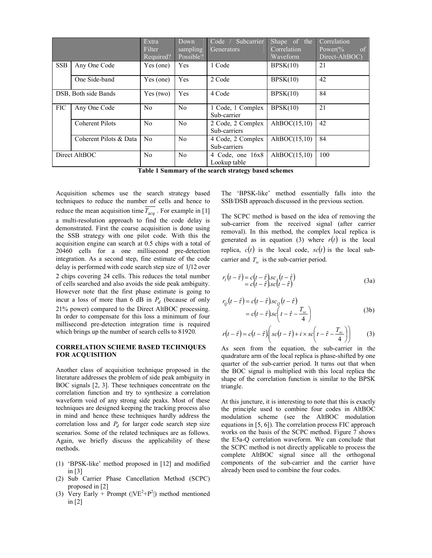|                      |                        | Extra.<br>Filter<br>Required? | Down<br>sampling<br>Possible? | Subcarrier<br>Code /<br>Generators | Shape of the<br>Correlation<br>Waveform | Correlation<br>of<br>Power $\frac{6}{6}$<br>Direct-AltBOC) |
|----------------------|------------------------|-------------------------------|-------------------------------|------------------------------------|-----------------------------------------|------------------------------------------------------------|
| <b>SSB</b>           | Any One Code           | Yes (one)                     | Yes                           | 1 Code                             | BPSK(10)                                | 21                                                         |
|                      | One Side-band          | Yes (one)                     | Yes                           | 2 Code                             | BPSK(10)                                | 42                                                         |
| DSB, Both side Bands |                        | Yes (two)                     | Yes                           | 4 Code                             | BPSK(10)                                | 84                                                         |
| <b>FIC</b>           | Any One Code           | N <sub>0</sub>                | No                            | 1 Code, 1 Complex<br>Sub-carrier   | BPSK(10)                                | 21                                                         |
|                      | <b>Coherent Pilots</b> | N <sub>0</sub>                | No                            | 2 Code, 2 Complex<br>Sub-carriers  | AltBOC $(15,10)$                        | 42                                                         |
|                      | Coherent Pilots & Data | N <sub>0</sub>                | No                            | 4 Code, 2 Complex<br>Sub-carriers  | AltBOC $(15,10)$                        | 84                                                         |
| Direct AltBOC        |                        | N <sub>0</sub>                | N <sub>0</sub>                | 4 Code, one 16x8<br>Lookup table   | AltBOC $(15,10)$                        | 100                                                        |

Table 1 Summary of the search strategy based schemes

Acquisition schemes use the search strategy based techniques to reduce the number of cells and hence to reduce the mean acquisition time  $\overline{T_{acq}}$ . For example in [1] a multi-resolution approach to find the code delay is demonstrated. First the coarse acquisition is done using the SSB strategy with one pilot code. With this the acquisition engine can search at 0.5 chips with a total of 20460 cells for a one millisecond pre-detection integration. As a second step, fine estimate of the code delay is performed with code search step size of  $1/12$  over 2 chips covering 24 cells. This reduces the total number of cells searched and also avoids the side peak ambiguity. However note that the first phase estimate is going to incur a loss of more than 6 dB in  $P_d$  (because of only 21% power) compared to the Direct AltBOC processing. In order to compensate for this loss a minimum of four millisecond pre-detection integration time is required which brings up the number of search cells to 81920.

#### CORRELATION SCHEME BASED TECHNIQUES FOR ACQUISITION

Another class of acquisition technique proposed in the literature addresses the problem of side peak ambiguity in BOC signals [2, 3]. These techniques concentrate on the correlation function and try to synthesize a correlation waveform void of any strong side peaks. Most of these techniques are designed keeping the tracking process also in mind and hence these techniques hardly address the correlation loss and  $P_d$  for larger code search step size scenarios. Some of the related techniques are as follows. Again, we briefly discuss the applicability of these methods.

- (1) 'BPSK-like' method proposed in [12] and modified in [3]
- (2) Sub Carrier Phase Cancellation Method (SCPC) proposed in [2]
- (3) Very Early + Prompt ( $|VE^2+P^2|$ ) method mentioned in [2]

The 'BPSK-like' method essentially falls into the SSB/DSB approach discussed in the previous section.

The SCPC method is based on the idea of removing the sub-carrier from the received signal (after carrier removal). In this method, the complex local replica is generated as in equation (3) where  $r(t)$  is the local replica,  $c(t)$  is the local code,  $sc(t)$  is the local subcarrier and  $T_{sc}$  is the sub-carrier period.

$$
r_t(t - \hat{\tau}) = c(t - \hat{\tau}) s c_t(t - \hat{\tau})
$$
  
= c(t - \hat{\tau}) s c(t - \hat{\tau}) (3a)

$$
r_Q(t - \hat{\tau}) = c(t - \hat{\tau}) s c_Q(t - \hat{\tau})
$$
  
=  $c(t - \hat{\tau}) s c \left( t - \hat{\tau} - \frac{T_{sc}}{4} \right)$  (3b)

$$
r(t - \hat{\tau}) = c(t - \hat{\tau}) \bigg( sc(t - \hat{\tau}) + i \times sc \bigg( t - \hat{\tau} - \frac{T_{sc}}{4} \bigg) \bigg) \tag{3}
$$

As seen from the equation, the sub-carrier in the quadrature arm of the local replica is phase-shifted by one quarter of the sub-carrier period. It turns out that when the BOC signal is multiplied with this local replica the shape of the correlation function is similar to the BPSK triangle.

At this juncture, it is interesting to note that this is exactly the principle used to combine four codes in AltBOC modulation scheme (see the AltBOC modulation equations in [5, 6]). The correlation process FIC approach works on the basis of the SCPC method. Figure 7 shows the E5a-Q correlation waveform. We can conclude that the SCPC method is not directly applicable to process the complete AltBOC signal since all the orthogonal components of the sub-carrier and the carrier have already been used to combine the four codes.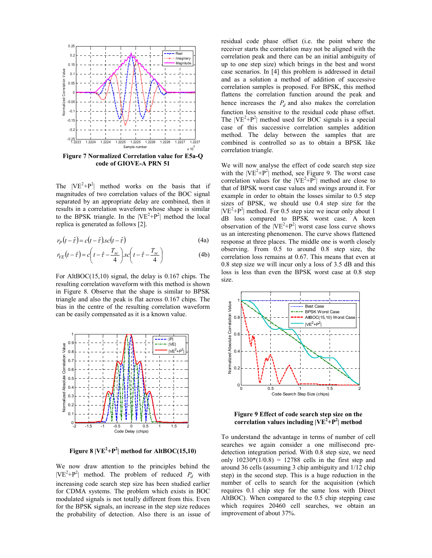

code of GIOVE-A PRN 51

The  $|VE^2 + P^2|$  method works on the basis that if magnitudes of two correlation values of the BOC signal separated by an appropriate delay are combined, then it results in a correlation waveform whose shape is similar to the BPSK triangle. In the  $|VE^2 + P^2|$  method the local replica is generated as follows [2].

$$
r_P(t - \hat{\tau}) = c(t - \hat{\tau}) \operatorname{sc}(t - \hat{\tau})
$$
\n(4a)

$$
r_{VE}(t-\hat{\tau}) = c\left(t-\hat{\tau}-\frac{T_{sc}}{4}\right).sc\left(t-\hat{\tau}-\frac{T_{sc}}{4}\right)
$$
(4b)

For AltBOC(15,10) signal, the delay is 0.167 chips. The resulting correlation waveform with this method is shown in Figure 8. Observe that the shape is similar to BPSK triangle and also the peak is flat across 0.167 chips. The bias in the centre of the resulting correlation waveform can be easily compensated as it is a known value.



Figure 8  $|VE^2+P^2|$  method for AltBOC(15,10)

We now draw attention to the principles behind the  $|VE^{2}+P^{2}|$  method. The problem of reduced  $P_{d}$  with increasing code search step size has been studied earlier for CDMA systems. The problem which exists in BOC modulated signals is not totally different from this. Even for the BPSK signals, an increase in the step size reduces the probability of detection. Also there is an issue of

residual code phase offset (i.e. the point where the receiver starts the correlation may not be aligned with the correlation peak and there can be an initial ambiguity of up to one step size) which brings in the best and worst case scenarios. In [4] this problem is addressed in detail and as a solution a method of addition of successive correlation samples is proposed. For BPSK, this method flattens the correlation function around the peak and hence increases the  $P_d$  and also makes the correlation function less sensitive to the residual code phase offset. The  $|VE^2+P^2|$  method used for BOC signals is a special case of this successive correlation samples addition method. The delay between the samples that are combined is controlled so as to obtain a BPSK like correlation triangle.

We will now analyse the effect of code search step size with the  $|VE^2+P^2|$  method, see Figure 9. The worst case correlation values for the  $|VE^2 + P^2|$  method are close to that of BPSK worst case values and swings around it. For example in order to obtain the losses similar to 0.5 step sizes of BPSK, we should use 0.4 step size for the  $|VE^{2}+P^{2}|$  method. For 0.5 step size we incur only about 1 dB loss compared to BPSK worst case. A keen observation of the  $|VE^2+P^2|$  worst case loss curve shows us an interesting phenomenon. The curve shows flattened response at three places. The middle one is worth closely observing. From 0.5 to around 0.8 step size, the correlation loss remains at 0.67. This means that even at 0.8 step size we will incur only a loss of 3.5 dB and this loss is less than even the BPSK worst case at 0.8 step size.



Figure 9 Effect of code search step size on the correlation values including  $|VE^{2}+P^{2}|$  method

To understand the advantage in terms of number of cell searches we again consider a one millisecond predetection integration period. With 0.8 step size, we need only  $10230*(1/0.8) = 12788$  cells in the first step and around 36 cells (assuming 3 chip ambiguity and 1/12 chip step) in the second step. This is a huge reduction in the number of cells to search for the acquisition (which requires 0.1 chip step for the same loss with Direct AltBOC). When compared to the 0.5 chip stepping case which requires 20460 cell searches, we obtain an improvement of about 37%.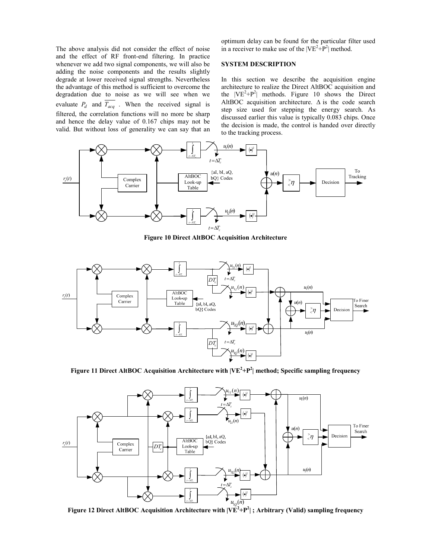The above analysis did not consider the effect of noise and the effect of RF front-end filtering. In practice whenever we add two signal components, we will also be adding the noise components and the results slightly degrade at lower received signal strengths. Nevertheless the advantage of this method is sufficient to overcome the degradation due to noise as we will see when we evaluate  $P_d$  and  $T_{acq}$ . When the received signal is filtered, the correlation functions will no more be sharp and hence the delay value of 0.167 chips may not be valid. But without loss of generality we can say that an

optimum delay can be found for the particular filter used in a receiver to make use of the  $|VE^2+P^2|$  method.

## SYSTEM DESCRIPTION

In this section we describe the acquisition engine architecture to realize the Direct AltBOC acquisition and the  $|VE^2 + P^2|$  methods. Figure 10 shows the Direct AltBOC acquisition architecture.  $\Delta$  is the code search step size used for stepping the energy search. As discussed earlier this value is typically 0.083 chips. Once the decision is made, the control is handed over directly to the tracking process.



Figure 10 Direct AltBOC Acquisition Architecture



Figure 11 Direct AltBOC Acquisition Architecture with  $|VE^2+P^2|$  method; Specific sampling frequency



Figure 12 Direct AltBOC Acquisition Architecture with  $|\mathrm{VE}^2\text{+P}^2|$  ; Arbitrary (Valid) sampling frequency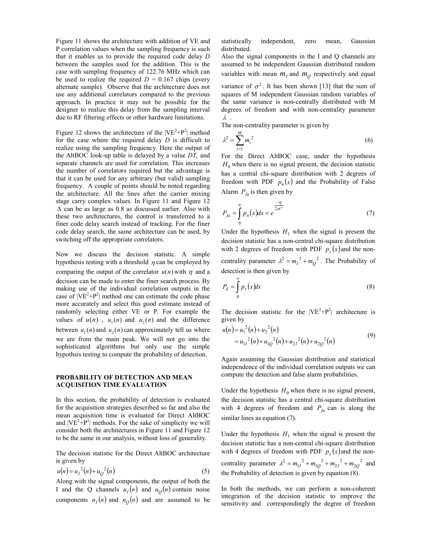Figure 11 shows the architecture with addition of VE and P correlation values when the sampling frequency is such that it enables us to provide the required code delay D between the samples used for the addition. This is the case with sampling frequency of 122.76 MHz which can be used to realize the required  $D = 0.167$  chips (every alternate sample). Observe that the architecture does not use any additional correlators compared to the previous approach. In practice it may not be possible for the designer to realize this delay from the sampling interval due to RF filtering effects or other hardware limitations.

Figure 12 shows the architecture of the  $|VE^2 + P^2|$  method for the case where the required delay  $D$  is difficult to realize using the sampling frequency. Here the output of the AltBOC look-up table is delayed by a value  $DT_c$  and separate channels are used for correlation. This increases the number of correlators required but the advantage is that it can be used for any arbitrary (but valid) sampling frequency. A couple of points should be noted regarding the architecture. All the lines after the carrier mixing stage carry complex values. In Figure 11 and Figure 12 ∆ can be as large as 0.8 as discussed earlier. Also with these two architectures, the control is transferred to a finer code delay search instead of tracking. For the finer code delay search, the same architecture can be used, by switching off the appropriate correlators.

Now we discuss the decision statistic. A simple hypothesis testing with a threshold  $\eta$  can be employed by comparing the output of the correlator  $u(n)$  with  $\eta$  and a decision can be made to enter the finer search process. By making use of the individual correlation outputs in the case of  $|VE^2 + P^2|$  method one can estimate the code phase more accurately and select this good estimate instead of randomly selecting either VE or P. For example the values of  $u(n)$ ,  $u_1(n)$  and  $u_2(n)$  and the difference between  $u_1(n)$  and  $u_2(n)$  can approximately tell us where we are from the main peak. We will not go into the sophisticated algorithms but only use the simple hypothsis testing to compute the probability of detection.

#### PROBABILITY OF DETECTION AND MEAN ACQUISITION TIME EVALUATION

In this section, the probability of detection is evaluated for the acquisition strategies described so far and also the mean acquisition time is evaluated for Direct AltBOC and  $|VE^{2}+P^{2}|$  methods. For the sake of simplicity we will consider both the architectures in Figure 11 and Figure 12 to be the same in our analysis, without loss of generality.

The decision statistic for the Direct AltBOC architecture is given by

$$
u(n) = u_1^2(n) + u_2^2(n)
$$
 (5)

Along with the signal components, the output of both the I and the Q channels  $u_I(n)$  and  $u_Q(n)$  contain noise components  $n_I(n)$  and  $n_Q(n)$  and are assumed to be

statistically independent, zero mean, Gaussian distributed.

Also the signal components in the I and Q channels are assumed to be independent Gaussian distributed random variables with mean  $m_l$  and  $m_Q$  respectively and equal variance of  $\sigma^2$ . It has been shown [13] that the sum of squares of M independent Gaussian random variables of the same variance is non-centrally distributed with M degrees of freedom and with non-centrality parameter λ .

The non-centrality parameter is given by

$$
\lambda^2 = \sum_{i=1}^M m_i^2 \tag{6}
$$

For the Direct AltBOC case, under the hypothesis  $H_0$  when there is no signal present, the decision statistic has a central chi-square distribution with 2 degrees of freedom with PDF  $p_n(x)$  and the Probability of False Alarm  $P_{fa}$  is then given by

$$
P_{fa} = \int_{\eta}^{\infty} p_n(x) dx = e^{\frac{-\eta}{2\sigma^2}}
$$
 (7)

Under the hypothesis  $H_1$  when the signal is present the decision statistic has a non-central chi-square distribution with 2 degrees of freedom with PDF  $p_s(x)$  and the noncentrality parameter  $\lambda^2 = m_I^2 + m_Q^2$ . The Probability of detection is then given by

$$
P_d = \int_{\eta}^{\infty} p_s(x) dx
$$
 (8)

The decision statistic for the  $|VE^2 + P^2|$  architecture is given by

$$
u(n) = u_1^2(n) + u_2^2(n)
$$
  
=  $u_{11}^2(n) + u_{1Q}^2(n) + u_{21}^2(n) + u_{2Q}^2(n)$  (9)

Again assuming the Gaussian distribution and statistical independence of the individual correlation outputs we can compute the detection and false alarm probabilities.

Under the hypothesis  $H_0$  when there is no signal present, the decision statistic has a central chi-square distribution with 4 degrees of freedom and  $P_{fa}$  can is along the similar lines as equation (7).

Under the hypothesis  $H_1$  when the signal is present the decision statistic has a non-central chi-square distribution with 4 degrees of freedom with PDF  $p_s(x)$  and the noncentrality parameter  $\lambda^2 = m_{11}^2 + m_{10}^2 + m_{21}^2 + m_{20}^2$  and the Probability of detection is given by equation (8).

In both the methods, we can perform a non-coherent integration of the decision statistic to improve the sensitivity and correspondingly the degree of freedom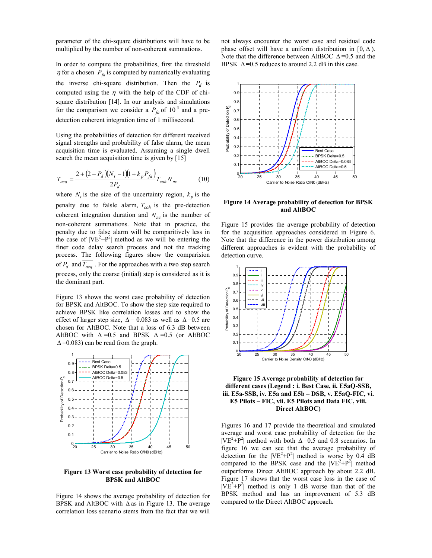parameter of the chi-square distributions will have to be multiplied by the number of non-coherent summations.

In order to compute the probabilities, first the threshold  $\eta$  for a chosen  $P_{fa}$  is computed by numerically evaluating the inverse chi-square distribution. Then the  $P_d$  is computed using the  $\eta$  with the help of the CDF of chisquare distribution [14]. In our analysis and simulations for the comparison we consider a  $P_{fa}$  of  $10^{-3}$  and a predetection coherent integration time of 1 millisecond.

Using the probabilities of detection for different received signal strengths and probability of false alarm, the mean acquisition time is evaluated. Assuming a single dwell search the mean acquisition time is given by [15]

$$
\overline{T_{acq}} = \frac{2 + (2 - P_d)(N_t - 1)(1 + k_p P_{fa})}{2P_d} T_{coh} N_{nc}
$$
(10)

where  $N_t$  is the size of the uncertainty region,  $k_p$  is the penalty due to falsle alarm,  $T_{coh}$  is the pre-detection coherent integration duration and  $N_{nc}$  is the number of non-coherent summations. Note that in practice, the penalty due to false alarm will be comparitively less in the case of  $|VE^2 + P^2|$  method as we will be entering the finer code delay search process and not the tracking process. The following figures show the comparision of  $P_d$  and  $T_{acq}$ . For the approaches with a two step search process, only the coarse (initial) step is considered as it is the dominant part.

Figure 13 shows the worst case probability of detection for BPSK and AltBOC. To show the step size required to achieve BPSK like correlation losses and to show the effect of larger step size,  $\Delta$  = 0.083 as well as  $\Delta$  = 0.5 are chosen for AltBOC. Note that a loss of 6.3 dB between AltBOC with  $\Delta = 0.5$  and BPSK  $\Delta = 0.5$  (or AltBOC  $\Delta$ =0.083) can be read from the graph.



Figure 13 Worst case probability of detection for BPSK and AltBOC

Figure 14 shows the average probability of detection for BPSK and AltBOC with  $\Delta$  as in Figure 13. The average correlation loss scenario stems from the fact that we will

not always encounter the worst case and residual code phase offset will have a uniform distribution in [0,  $\Delta$ ). Note that the difference between AltBOC ∆ =0.5 and the BPSK  $\Delta = 0.5$  reduces to around 2.2 dB in this case.



Figure 14 Average probability of detection for BPSK and AltBOC

Figure 15 provides the average probability of detection for the acquisition approaches considered in Figure 6. Note that the difference in the power distribution among different approaches is evident with the probability of detection curve.





Figures 16 and 17 provide the theoretical and simulated average and worst case probability of detection for the  $|VE^{2}+P^{2}|$  method with both  $\Delta=0.5$  and 0.8 scenarios. In figure 16 we can see that the average probability of detection for the  $|VE^2 + P^2|$  method is worse by 0.4 dB compared to the BPSK case and the  $|VE^2 + P^2|$  method outperforms Direct AltBOC approach by about 2.2 dB. Figure 17 shows that the worst case loss in the case of  $|VE^{2}+P^{2}|$  method is only 1 dB worse than that of the BPSK method and has an improvement of 5.3 dB compared to the Direct AltBOC approach.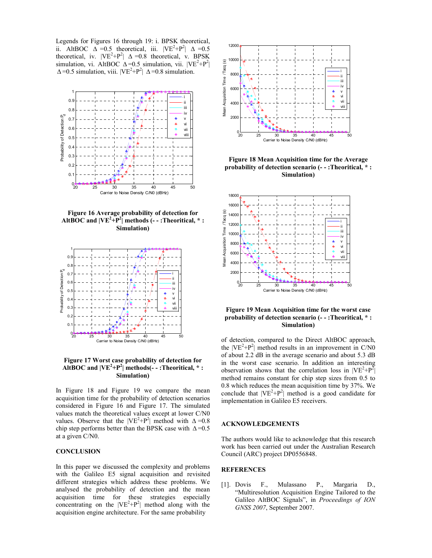Legends for Figures 16 through 19: i. BPSK theoretical, ii. AltBOC  $\Delta = 0.5$  theoretical, iii.  $|VE^2 + P^2| \Delta = 0.5$ theoretical, iv.  $|VE^2+P^2| \Delta = 0.8$  theoretical, v. BPSK simulation, vi. AltBOC  $\Delta = 0.5$  simulation, vii.  $|VE^2 + P^2|$  $\Delta$ =0.5 simulation, viii.  $|VE^{2}+P^{2}| \Delta$ =0.8 simulation.



Figure 16 Average probability of detection for AltBOC and  $|VE^2+P^2|$  methods (--:Theoritical,  $*$ : Simulation)



Figure 17 Worst case probability of detection for AltBOC and  $|VE^2+P^2|$  methods(--:Theoritical, \*: Simulation)

In Figure 18 and Figure 19 we compare the mean acquisition time for the probability of detection scenarios considered in Figure 16 and Figure 17. The simulated values match the theoretical values except at lower C/N0 values. Observe that the  $|VE^2+P^2|$  method with  $\Delta = 0.8$ chip step performs better than the BPSK case with  $\Delta$ =0.5 at a given C/N0.

### **CONCLUSION**

In this paper we discussed the complexity and problems with the Galileo E5 signal acquisition and revisited different strategies which address these problems. We analysed the probability of detection and the mean acquisition time for these strategies especially concentrating on the  $|VE^2+P^2|$  method along with the acquisition engine architecture. For the same probability



Figure 18 Mean Acquisition time for the Average probability of detection scenario (- - :Theoritical, \* : Simulation)



Figure 19 Mean Acquisition time for the worst case probability of detection scenario (- - :Theoritical, \* : Simulation)

of detection, compared to the Direct AltBOC approach, the  $|VE^2+P^2|$  method results in an improvement in C/N0 of about 2.2 dB in the average scenario and about 5.3 dB in the worst case scenario. In addition an interesting observation shows that the correlation loss in  $|VE^2 + P^2|$ method remains constant for chip step sizes from 0.5 to 0.8 which reduces the mean acquisition time by 37%. We conclude that  $|VE^2+P^2|$  method is a good candidate for implementation in Galileo E5 receivers.

#### ACKNOWLEDGEMENTS

The authors would like to acknowledge that this research work has been carried out under the Australian Research Council (ARC) project DP0556848.

## **REFERENCES**

[1]. Dovis F., Mulassano P., Margaria D., "Multiresolution Acquisition Engine Tailored to the Galileo AltBOC Signals", in Proceedings of ION GNSS 2007, September 2007.